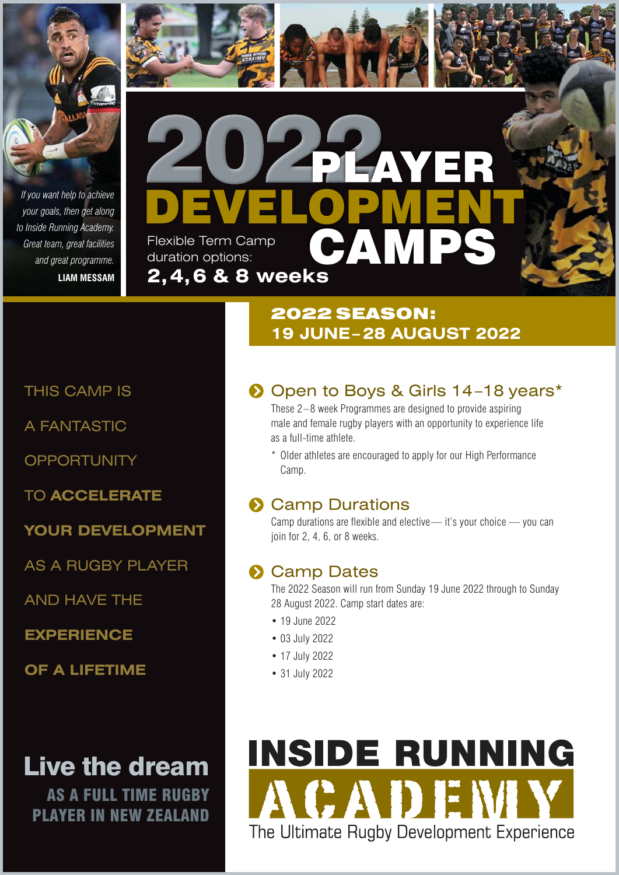

*your goals, then get along to Inside Running Academy. Great team, great facilities and great programme.* **LIAM MESSAM**



# 2022 SEASON: **19 JUNE – 28 AUGUST 2022**

THIS CAMP IS

A FANTASTIC

**OPPORTUNITY** 

TO **ACCELERATE** 

**YOUR DEVELOPMENT**

AS A RUGBY PLAYER

AND HAVE THE

**EXPERIENCE** 

**OF A LIFETIME**

Live the dream

AS A FULL TIME RUGBY PLAYER IN NEW ZEALAND

# Open to Boys & Girls 14-18 years\*

These 2–8 week Programmes are designed to provide aspiring male and female rugby players with an opportunity to experience life as a full-time athlete.

\* Older athletes are encouraged to apply for our High Performance Camp.

### **S** Camp Durations

Camp durations are flexible and elective— it's your choice — you can join for 2, 4, 6, or 8 weeks.

### **S** Camp Dates

The 2022 Season will run from Sunday 19 June 2022 through to Sunday 28 August 2022. Camp start dates are:

- 19 June 2022
- 03 July 2022
- 17 July 2022
- 31 July 2022

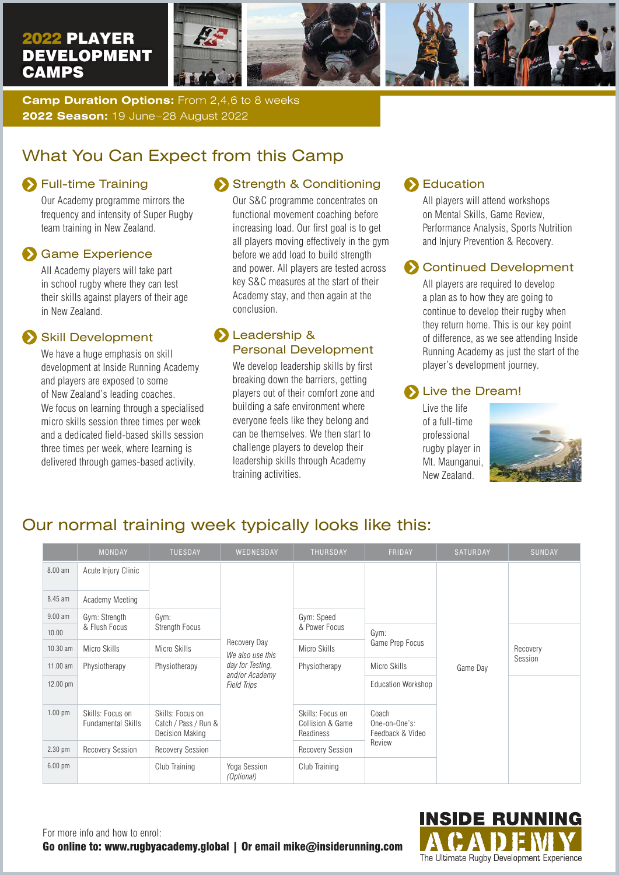

**Camp Duration Options:** From 2,4,6 to 8 weeks **2022 Season:** 19 June–28 August 2022

### What You Can Expect from this Camp

### **S** Full-time Training

Our Academy programme mirrors the frequency and intensity of Super Rugby team training in New Zealand.

#### Game Experience

All Academy players will take part in school rugby where they can test their skills against players of their age in New Zealand.

#### Skill Development

We have a huge emphasis on skill development at Inside Running Academy and players are exposed to some of New Zealand's leading coaches. We focus on learning through a specialised micro skills session three times per week and a dedicated field-based skills session three times per week, where learning is delivered through games-based activity.

### Strength & Conditioning

Our S&C programme concentrates on functional movement coaching before increasing load. Our first goal is to get all players moving effectively in the gym before we add load to build strength and power. All players are tested across key S&C measures at the start of their Academy stay, and then again at the conclusion.

#### Leadership & Personal Development

We develop leadership skills by first breaking down the barriers, getting players out of their comfort zone and building a safe environment where everyone feels like they belong and can be themselves. We then start to challenge players to develop their leadership skills through Academy training activities.

#### Education

All players will attend workshops on Mental Skills, Game Review, Performance Analysis, Sports Nutrition and Injury Prevention & Recovery.

#### **Continued Development**

All players are required to develop a plan as to how they are going to continue to develop their rugby when they return home. This is our key point of difference, as we see attending Inside Running Academy as just the start of the player's development journey.

#### Live the Dream!

Live the life of a full-time professional rugby player in Mt. Maunganui, New Zealand.



### Our normal training week typically looks like this:

|                   | <b>MONDAY</b>                                 | <b>TUESDAY</b>                                                     | WEDNESDAY                                                                                    | <b>THURSDAY</b>                                   | FRIDAY                                     | SATURDAY | <b>SUNDAY</b>       |
|-------------------|-----------------------------------------------|--------------------------------------------------------------------|----------------------------------------------------------------------------------------------|---------------------------------------------------|--------------------------------------------|----------|---------------------|
| 8.00 am           | Acute Injury Clinic                           |                                                                    | Recovery Day<br>We also use this<br>day for Testing,<br>and/or Academy<br><b>Field Trips</b> |                                                   |                                            | Game Day |                     |
| 8.45 am           | Academy Meeting                               |                                                                    |                                                                                              |                                                   |                                            |          |                     |
| $9.00$ am         | Gym: Strength<br>& Flush Focus                | Gym:<br><b>Strength Focus</b>                                      |                                                                                              | Gym: Speed                                        |                                            |          |                     |
| 10.00             |                                               |                                                                    |                                                                                              | & Power Focus                                     | Gym:<br>Game Prep Focus                    |          | Recovery<br>Session |
| 10.30 am          | Micro Skills                                  | Micro Skills                                                       |                                                                                              | Micro Skills                                      |                                            |          |                     |
| 11.00 am          | Physiotherapy                                 | Physiotherapy                                                      |                                                                                              | Physiotherapy                                     | Micro Skills                               |          |                     |
| 12.00 pm          |                                               |                                                                    |                                                                                              |                                                   | <b>Education Workshop</b>                  |          |                     |
| $1.00$ pm         | Skills: Focus on<br><b>Fundamental Skills</b> | Skills: Focus on<br>Catch / Pass / Run &<br><b>Decision Making</b> |                                                                                              | Skills: Focus on<br>Collision & Game<br>Readiness | Coach<br>One-on-One's:<br>Feedback & Video |          |                     |
| $2.30$ pm         | <b>Recovery Session</b>                       | Recovery Session                                                   |                                                                                              | <b>Recovery Session</b>                           | Review                                     |          |                     |
| $6.00 \text{ pm}$ |                                               | Club Training                                                      | Yoga Session<br>(Optional)                                                                   | Club Training                                     |                                            |          |                     |